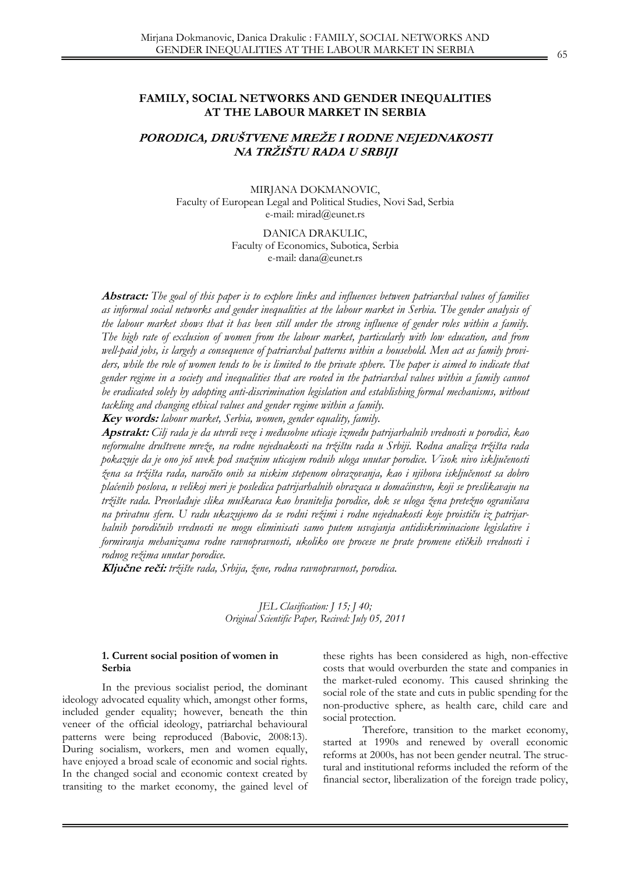# **FAMILY, SOCIAL NETWORKS AND GENDER INEQUALITIES AT THE LABOUR MARKET IN SERBIA**

# **PORODICA, DRUŠTVENE MREŽE I RODNE NEJEDNAKOSTI NA TRŽIŠTU RADA U SRBIJI**

MIRJANA DOKMANOVIC, Faculty of European Legal and Political Studies, Novi Sad, Serbia e-mail: mirad@eunet.rs

> DANICA DRAKULIC, Faculty of Economics, Subotica, Serbia e-mail: dana@eunet.rs

**Abstract:** *The goal of this paper is to explore links and influences between patriarchal values of families as informal social networks and gender inequalities at the labour market in Serbia. The gender analysis of the labour market shows that it has been still under the strong influence of gender roles within a family. The high rate of exclusion of women from the labour market, particularly with low education, and from well-paid jobs, is largely a consequence of patriarchal patterns within a household. Men act as family provi*ders, while the role of women tends to be is limited to the private sphere. The paper is aimed to indicate that *gender regime in a society and inequalities that are rooted in the patriarchal values within a family cannot be eradicated solely by adopting anti-discrimination legislation and establishing formal mechanisms, without tackling and changing ethical values and gender regime within a family.*

**Key words:** *labour market, Serbia, women, gender equality, family.*

**Apstrakt:** *Cilj rada je da utvrdi veze i međusobne uticaje između patrijarhalnih vrednosti u porodici, kao neformalne društvene mreže, na rodne nejednakosti na tržištu rada u Srbiji. Rodna analiza tržišta rada pokazuje da je ono još uvek pod snažnim uticajem rodnih uloga unutar porodice. Visok nivo isključenosti žena sa tržišta rada, naročito onih sa niskim stepenom obrazovanja, kao i njihova isključenost sa dobro plaćenih poslova, u velikoj meri je posledica patrijarhalnih obrazaca u domaćinstvu, koji se preslikavaju na tržište rada. Preovlađuje slika muškaraca kao hranitelja porodice, dok se uloga žena pretežno ograničava na privatnu sferu. U radu ukazujemo da se rodni režimi i rodne nejednakosti koje proističu iz patrijarhalnih porodičnih vrednosti ne mogu eliminisati samo putem usvajanja antidiskriminacione legislative i formiranja mehanizama rodne ravnopravnosti, ukoliko ove procese ne prate promene etičkih vrednosti i rodnog režima unutar porodice.* 

**Ključne reči:** *tržište rada, Srbija, žene, rodna ravnopravnost, porodica.* 

*JEL Clasification: J 15; J 40; Original Scientific Paper, Recived: July 05, 2011* 

### **1. Current social position of women in Serbia**

In the previous socialist period, the dominant ideology advocated equality which, amongst other forms, included gender equality; however, beneath the thin veneer of the official ideology, patriarchal behavioural patterns were being reproduced (Babovic, 2008:13). During socialism, workers, men and women equally, have enjoyed a broad scale of economic and social rights. In the changed social and economic context created by transiting to the market economy, the gained level of these rights has been considered as high, non-effective costs that would overburden the state and companies in the market-ruled economy. This caused shrinking the social role of the state and cuts in public spending for the non-productive sphere, as health care, child care and social protection.

 Therefore, transition to the market economy, started at 1990s and renewed by overall economic reforms at 2000s, has not been gender neutral. The structural and institutional reforms included the reform of the financial sector, liberalization of the foreign trade policy,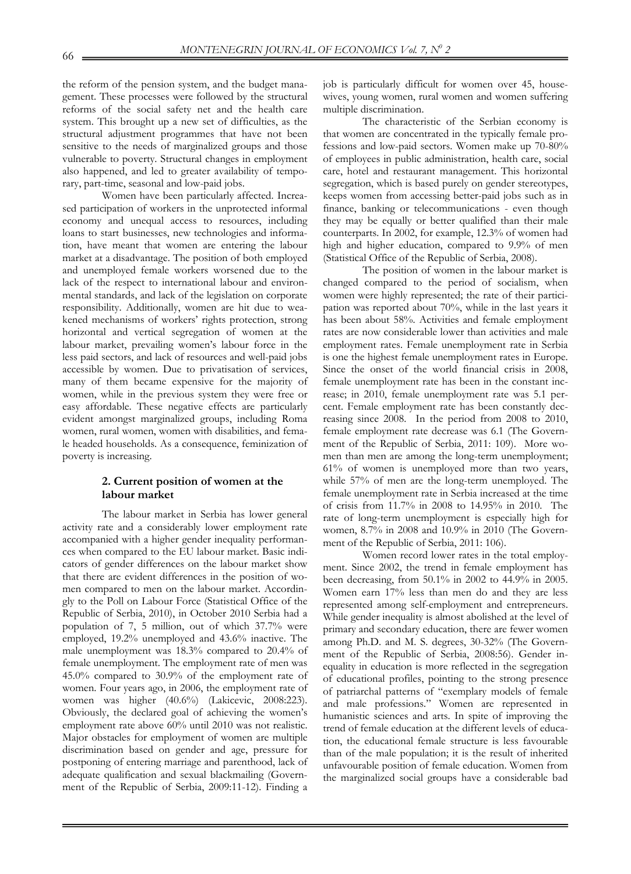the reform of the pension system, and the budget management. These processes were followed by the structural reforms of the social safety net and the health care system. This brought up a new set of difficulties, as the structural adjustment programmes that have not been sensitive to the needs of marginalized groups and those vulnerable to poverty. Structural changes in employment also happened, and led to greater availability of temporary, part-time, seasonal and low-paid jobs.

 Women have been particularly affected. Increased participation of workers in the unprotected informal economy and unequal access to resources, including loans to start businesses, new technologies and information, have meant that women are entering the labour market at a disadvantage. The position of both employed and unemployed female workers worsened due to the lack of the respect to international labour and environmental standards, and lack of the legislation on corporate responsibility. Additionally, women are hit due to weakened mechanisms of workers' rights protection, strong horizontal and vertical segregation of women at the labour market, prevailing women's labour force in the less paid sectors, and lack of resources and well-paid jobs accessible by women. Due to privatisation of services, many of them became expensive for the majority of women, while in the previous system they were free or easy affordable. These negative effects are particularly evident amongst marginalized groups, including Roma women, rural women, women with disabilities, and female headed households. As a consequence, feminization of poverty is increasing.

# **2. Current position of women at the labour market**

The labour market in Serbia has lower general activity rate and a considerably lower employment rate accompanied with a higher gender inequality performances when compared to the EU labour market. Basic indicators of gender differences on the labour market show that there are evident differences in the position of women compared to men on the labour market. Accordingly to the Poll on Labour Force (Statistical Office of the Republic of Serbia, 2010), in October 2010 Serbia had a population of 7, 5 million, out of which 37.7% were employed, 19.2% unemployed and 43.6% inactive. The male unemployment was 18.3% compared to 20.4% of female unemployment. The employment rate of men was 45.0% compared to 30.9% of the employment rate of women. Four years ago, in 2006, the employment rate of women was higher (40.6%) (Lakicevic, 2008:223). Obviously, the declared goal of achieving the women's employment rate above 60% until 2010 was not realistic. Major obstacles for employment of women are multiple discrimination based on gender and age, pressure for postponing of entering marriage and parenthood, lack of adequate qualification and sexual blackmailing (Government of the Republic of Serbia, 2009:11-12). Finding a

job is particularly difficult for women over 45, housewives, young women, rural women and women suffering multiple discrimination.

The characteristic of the Serbian economy is that women are concentrated in the typically female professions and low-paid sectors. Women make up 70-80% of employees in public administration, health care, social care, hotel and restaurant management. This horizontal segregation, which is based purely on gender stereotypes, keeps women from accessing better-paid jobs such as in finance, banking or telecommunications - even though they may be equally or better qualified than their male counterparts. In 2002, for example, 12.3% of women had high and higher education, compared to 9.9% of men (Statistical Office of the Republic of Serbia, 2008).

The position of women in the labour market is changed compared to the period of socialism, when women were highly represented; the rate of their participation was reported about 70%, while in the last years it has been about 58%. Activities and female employment rates are now considerable lower than activities and male employment rates. Female unemployment rate in Serbia is one the highest female unemployment rates in Europe. Since the onset of the world financial crisis in 2008, female unemployment rate has been in the constant increase; in 2010, female unemployment rate was 5.1 percent. Female employment rate has been constantly decreasing since 2008. In the period from 2008 to 2010, female employment rate decrease was 6.1 (The Government of the Republic of Serbia, 2011: 109). More women than men are among the long-term unemployment; 61% of women is unemployed more than two years, while 57% of men are the long-term unemployed. The female unemployment rate in Serbia increased at the time of crisis from 11.7% in 2008 to 14.95% in 2010. The rate of long-term unemployment is especially high for women, 8.7% in 2008 and 10.9% in 2010 (The Government of the Republic of Serbia, 2011: 106).

Women record lower rates in the total employment. Since 2002, the trend in female employment has been decreasing, from 50.1% in 2002 to 44.9% in 2005. Women earn 17% less than men do and they are less represented among self-employment and entrepreneurs. While gender inequality is almost abolished at the level of primary and secondary education, there are fewer women among Ph.D. and M. S. degrees, 30-32% (The Government of the Republic of Serbia, 2008:56). Gender inequality in education is more reflected in the segregation of educational profiles, pointing to the strong presence of patriarchal patterns of "exemplary models of female and male professions." Women are represented in humanistic sciences and arts. In spite of improving the trend of female education at the different levels of education, the educational female structure is less favourable than of the male population; it is the result of inherited unfavourable position of female education. Women from the marginalized social groups have a considerable bad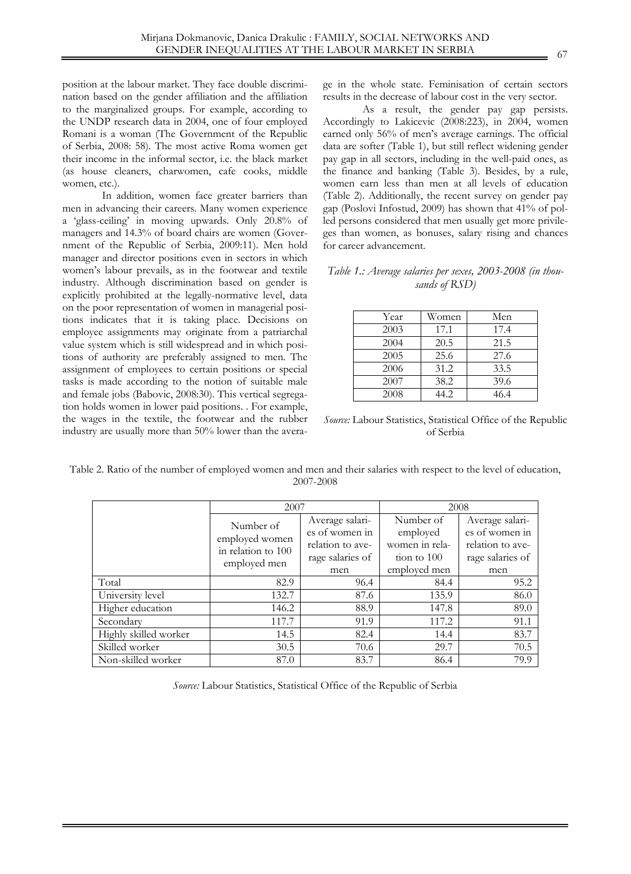position at the labour market. They face double discrimination based on the gender affiliation and the affiliation to the marginalized groups. For example, according to the UNDP research data in 2004, one of four employed Romani is a woman (The Government of the Republic of Serbia, 2008: 58). The most active Roma women get their income in the informal sector, i.e. the black market (as house cleaners, charwomen, cafe cooks, middle women, etc.).

In addition, women face greater barriers than men in advancing their careers. Many women experience a 'glass-ceiling' in moving upwards. Only 20.8% of managers and 14.3% of board chairs are women (Government of the Republic of Serbia, 2009:11). Men hold manager and director positions even in sectors in which women's labour prevails, as in the footwear and textile industry. Although discrimination based on gender is explicitly prohibited at the legally-normative level, data on the poor representation of women in managerial positions indicates that it is taking place. Decisions on employee assignments may originate from a patriarchal value system which is still widespread and in which positions of authority are preferably assigned to men. The assignment of employees to certain positions or special tasks is made according to the notion of suitable male and female jobs (Babovic, 2008:30). This vertical segregation holds women in lower paid positions. . For example, the wages in the textile, the footwear and the rubber industry are usually more than 50% lower than the avera-

ge in the whole state. Feminisation of certain sectors results in the decrease of labour cost in the very sector.

As a result, the gender pay gap persists. Accordingly to Lakicevic (2008:223), in 2004, women earned only 56% of men's average earnings. The official data are softer (Table 1), but still reflect widening gender pay gap in all sectors, including in the well-paid ones, as the finance and banking (Table 3). Besides, by a rule, women earn less than men at all levels of education (Table 2). Additionally, the recent survey on gender pay gap (Poslovi Infostud, 2009) has shown that 41% of polled persons considered that men usually get more privileges than women, as bonuses, salary rising and chances for career advancement.

### *Table 1.: Average salaries per sexes, 2003-2008 (in thousands of RSD)*

| Year | Women | Men  |
|------|-------|------|
| 2003 | 17.1  | 17.4 |
| 2004 | 20.5  | 21.5 |
| 2005 | 25.6  | 27.6 |
| 2006 | 31.2  | 33.5 |
| 2007 | 38.2  | 39.6 |
| 2008 | 14.2  | 46.4 |

*Source:* Labour Statistics, Statistical Office of the Republic of Serbia

Table 2. Ratio of the number of employed women and men and their salaries with respect to the level of education, 2007-2008

|                       | 2007                                                 |                  | 2008           |                  |
|-----------------------|------------------------------------------------------|------------------|----------------|------------------|
|                       | Number of                                            | Average salari-  | Number of      | Average salari-  |
|                       | employed women<br>in relation to 100<br>employed men | es of women in   | employed       | es of women in   |
|                       |                                                      | relation to ave- | women in rela- | relation to ave- |
|                       |                                                      | rage salaries of | tion to 100    | rage salaries of |
|                       |                                                      | men              | employed men   | men              |
| Total                 | 82.9                                                 | 96.4             | 84.4           | 95.2             |
| University level      | 132.7                                                | 87.6             | 135.9          | 86.0             |
| Higher education      | 146.2                                                | 88.9             | 147.8          | 89.0             |
| Secondary             | 117.7                                                | 91.9             | 117.2          | 91.1             |
| Highly skilled worker | 14.5                                                 | 82.4             | 14.4           | 83.7             |
| Skilled worker        | 30.5                                                 | 70.6             | 29.7           | 70.5             |
| Non-skilled worker    | 87.0                                                 | 83.7             | 86.4           | 79.9             |

*Source:* Labour Statistics, Statistical Office of the Republic of Serbia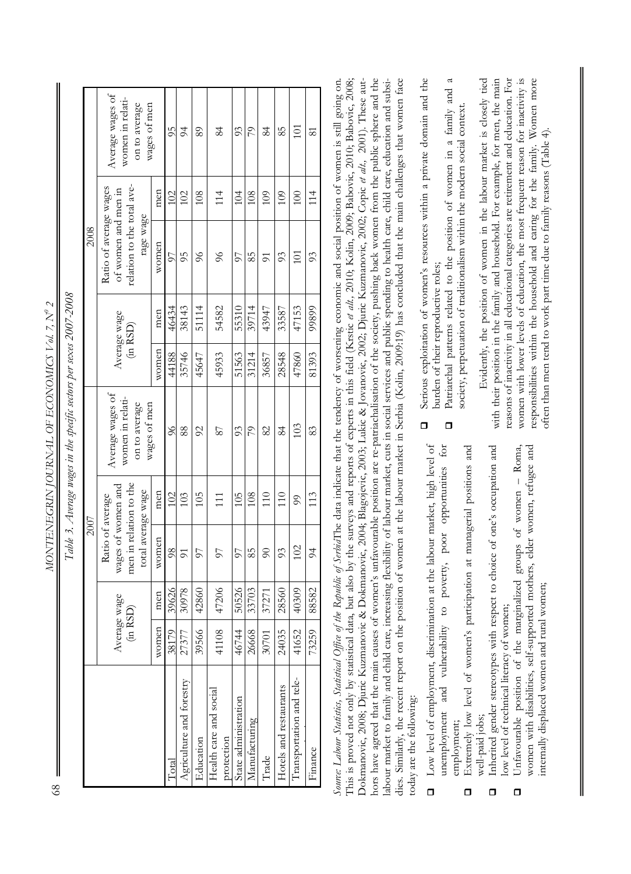MONTENEGRIN JOURNAL OF ECONOMICS Vol. 7, Nº 2 *MONTENEGRIN JOURNAL OF ECONOMICS Vol. 7, N0 2* 

|                                      |                          |       | 2007                                                                                   |                |                                                                       |          |              | 2008                                                                                     |     |                                                                       |
|--------------------------------------|--------------------------|-------|----------------------------------------------------------------------------------------|----------------|-----------------------------------------------------------------------|----------|--------------|------------------------------------------------------------------------------------------|-----|-----------------------------------------------------------------------|
|                                      | Average wage<br>(in RSD) |       | men in relation to the<br>wages of women and<br>total average wage<br>Ratio of average |                | Average wages of<br>women in relati-<br>on to average<br>wages of men | (in RSD) | Average wage | relation to the total ave-<br>Ratio of average wages<br>of women and men in<br>rage wage |     | Average wages of<br>women in relati-<br>on to average<br>wages of men |
|                                      | women                    | men   | women                                                                                  | men            |                                                                       | women    | men          | women                                                                                    | men |                                                                       |
| Total                                | 38179                    | 39626 | $\frac{8}{2}$                                                                          | 102            | $\frac{8}{2}$                                                         | 44188    | 46434        | 57                                                                                       | 102 | 95                                                                    |
| Agriculture and forestry             | 27377                    | 30978 | $\overline{5}$                                                                         | 103            | $\frac{8}{8}$                                                         | 35746    | 38143        | 56                                                                                       | 102 | $\overline{6}$                                                        |
| Education                            | 39566                    | 42860 | 57                                                                                     | 105            | $\mathfrak{S}$                                                        | 45647    | 51114        | $\delta$                                                                                 | 108 | 89                                                                    |
| Health care and social<br>protection | 41108                    | 47206 | 57                                                                                     | 111            | 78                                                                    | 45933    | 54582        | 86                                                                                       | 114 | 84                                                                    |
| State administration                 | 46744                    | 50526 | 57                                                                                     | 105            | 93                                                                    | 51563    | 55310        | 50                                                                                       | 104 | 93                                                                    |
| Manufacturing                        | 26668                    | 33703 | 85                                                                                     | 108            | 79                                                                    | 31214    | 39714        | 85                                                                                       | 108 | 79                                                                    |
| Trade                                | 30701                    | 37271 | $\Im$                                                                                  | 110            | 82                                                                    | 36857    | 43947        | 51                                                                                       | 109 | 84                                                                    |
| Hotels and restaurants               | 24035                    | 28560 | 93                                                                                     | 110            | 84                                                                    | 28548    | 33587        | 93                                                                                       | 109 | 85                                                                    |
| Transportation and tele-             | 41652                    | 40309 | 102                                                                                    | $\mathfrak{S}$ | 103                                                                   | 47860    | 47153        | 101                                                                                      | 100 | 101                                                                   |
| Finance                              | 73259                    | 88582 | $\approx$                                                                              | 113            | 83                                                                    | 81393    | 99899        | 93                                                                                       | 114 | $\overline{8}$                                                        |

*Table 3. Average wages in the specific sectors per sexes 2007-2008*  Table 3. Average wages in the specific sectors per sexes 2007-2008

*Source: Labour Statistics, Statistical Office of the Republic of Serbia*The data indicate that the tendency of worsening economic and social position of women is still going on. This is proved not only by statistical data, but also by the surveys and reports of experts in this field (Krstic *et alt.,* 2010; Kolin, 2009; Babovic, 2010; Babovic, 2008; nors have agreed that the main causes of women's unfavourable position are re-patriachalisation of the society, pushing back women from the public sphere and the hors have agreed that the main causes of women's unfavourable position are re-patriachalisation of the society, pushing back women from the public sphere and the dies. Similarly, the recent report on the position of women at the labour market in Serbia (Kolin, 2009:19) has concluded that the main challenges that women face Source: Labour Statistics, Statistical Office of the Republic of SerbiaThe data indicate that the tendency of worsening economic and social position of women is still going on. This is proved not only by statistical data, but also by the surveys and reports of experts in this field (Krstic et alt., 2010; Kolin, 2009; Babovic, 2010; Babovic, 2008; Dokmanovic, 2008; Djuric Kuzmanovic & Dokmanovic, 2004; Blagojevic, 2003; Lukic & Jovanovic, 2002; Djuric Kuzmanovic, 2002; Copic et alt., 2001). These autlabour market to family and child care, increasing flexibility of labour market, cuts in social services and public spending to health care, child care, education and subsidies. Similarly, the recent report on the position of women at the labour market in Serbia (Kolin, 2009:19) has concluded that the main challenges that women face Dokmanovic, 2008; Djuric Kuzmanovic & Dokmanovic, 2004; Blagojevic, 2003; Lukic & Jovanovic, 2002; Djuric Kuzmanovic, 2002; Copic *et alt.,* 2001). These autlabour market to family and child care, increasing flexibility of labour market, cuts in social services and public spending to health care, child care, education and subsitoday are the following: today are the following:

- Low level of employment, discrimination at the labour market, high level of Low level of employment, discrimination at the labour market, high level of unemployment and vulnerability to poverty, poor opportunities for unemployment and vulnerability to poverty, poor opportunities for employment; employment;  $\Box$ 
	- Extremely low level of women's participation at managerial positions and Extremely low level of women's participation at managerial positions and well-paid jobs; well-paid jobs;  $\Box$
- Inherited gender stereotypes with respect to choice of one's occupation and Inherited gender stereotypes with respect to choice of one's occupation and ow level of technical literacy of women; low level of technical literacy of women;  $\Box$ 
	- Unfavourable position of the marginalized groups of women Roma, women with disabilities, self-supported mothers, elder women, refugee and Unfavourable position of the marginalized groups of women - Roma, women with disabilities, self-supported mothers, elder women, refugee and internally displaced women and rural women; nternally displaced women and rural women;  $\Box$
- Serious exploitation of women's resources within a private domain and the Serious exploitation of women's resources within a private domain and the burden of their reproductive roles; burden of their reproductive roles;  $\Box$
- Patriarchal patterns related to the position of women in a family and a Patriarchal patterns related to the position of women in a family and a society, perpetuation of traditionalism within the modern social context. society, perpetuation of traditionalism within the modern social context.  $\overline{a}$

Evidently, the position of women in the labour market is closely tied with their position in the family and household. For example, for men, the main ceasons of inactivity in all educational categories are retirement and education. For reasons of inactivity in all educational categories are retirement and education. For women with lower levels of education, the most frequent reason for inactivity is women with lower levels of education, the most frequent reason for inactivity is responsibilities within the household and caring for the family. Women more responsibilities within the household and caring for the family. Women more Evidently, the position of women in the labour market is closely tied with their position in the family and household. For example, for men, the main often than men tend to work part time due to family reasons (Table 4). often than men tend to work part time due to family reasons (Table 4).

68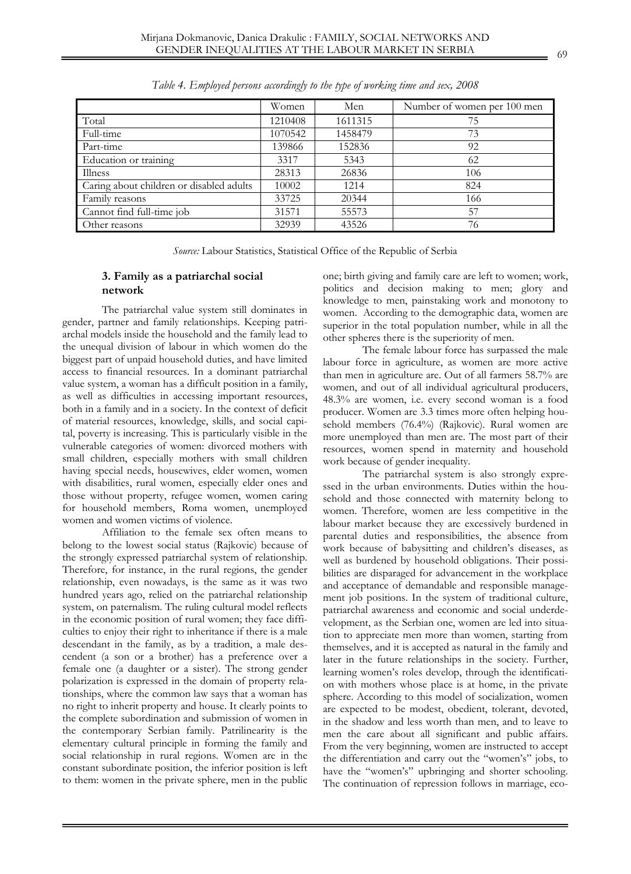|                                          | Women   | Men     | Number of women per 100 men |
|------------------------------------------|---------|---------|-----------------------------|
| Total                                    | 1210408 | 1611315 | 75                          |
| Full-time                                | 1070542 | 1458479 | 73                          |
| Part-time                                | 139866  | 152836  | 92                          |
| Education or training                    | 3317    | 5343    | 62                          |
| Illness                                  | 28313   | 26836   | 106                         |
| Caring about children or disabled adults | 10002   | 1214    | 824                         |
| Family reasons                           | 33725   | 20344   | 166                         |
| Cannot find full-time job                | 31571   | 55573   | 57                          |
| Other reasons                            | 32939   | 43526   | 76                          |

*Table 4. Employed persons accordingly to the type of working time and sex, 2008* 

*Source:* Labour Statistics, Statistical Office of the Republic of Serbia

# **3. Family as a patriarchal social network**

The patriarchal value system still dominates in gender, partner and family relationships. Keeping patriarchal models inside the household and the family lead to the unequal division of labour in which women do the biggest part of unpaid household duties, and have limited access to financial resources. In a dominant patriarchal value system, a woman has a difficult position in a family, as well as difficulties in accessing important resources, both in a family and in a society. In the context of deficit of material resources, knowledge, skills, and social capital, poverty is increasing. This is particularly visible in the vulnerable categories of women: divorced mothers with small children, especially mothers with small children having special needs, housewives, elder women, women with disabilities, rural women, especially elder ones and those without property, refugee women, women caring for household members, Roma women, unemployed women and women victims of violence.

Affiliation to the female sex often means to belong to the lowest social status (Rajkovic) because of the strongly expressed patriarchal system of relationship. Therefore, for instance, in the rural regions, the gender relationship, even nowadays, is the same as it was two hundred years ago, relied on the patriarchal relationship system, on paternalism. The ruling cultural model reflects in the economic position of rural women; they face difficulties to enjoy their right to inheritance if there is a male descendant in the family, as by a tradition, a male descendent (a son or a brother) has a preference over a female one (a daughter or a sister). The strong gender polarization is expressed in the domain of property relationships, where the common law says that a woman has no right to inherit property and house. It clearly points to the complete subordination and submission of women in the contemporary Serbian family. Patrilinearity is the elementary cultural principle in forming the family and social relationship in rural regions. Women are in the constant subordinate position, the inferior position is left to them: women in the private sphere, men in the public

one; birth giving and family care are left to women; work, politics and decision making to men; glory and knowledge to men, painstaking work and monotony to women. According to the demographic data, women are superior in the total population number, while in all the other spheres there is the superiority of men.

The female labour force has surpassed the male labour force in agriculture, as women are more active than men in agriculture are. Out of all farmers 58.7% are women, and out of all individual agricultural producers, 48.3% are women, i.e. every second woman is a food producer. Women are 3.3 times more often helping household members (76.4%) (Rajkovic). Rural women are more unemployed than men are. The most part of their resources, women spend in maternity and household work because of gender inequality.

The patriarchal system is also strongly expressed in the urban environments. Duties within the household and those connected with maternity belong to women. Therefore, women are less competitive in the labour market because they are excessively burdened in parental duties and responsibilities, the absence from work because of babysitting and children's diseases, as well as burdened by household obligations. Their possibilities are disparaged for advancement in the workplace and acceptance of demandable and responsible management job positions. In the system of traditional culture, patriarchal awareness and economic and social underdevelopment, as the Serbian one, women are led into situation to appreciate men more than women, starting from themselves, and it is accepted as natural in the family and later in the future relationships in the society. Further, learning women's roles develop, through the identification with mothers whose place is at home, in the private sphere. According to this model of socialization, women are expected to be modest, obedient, tolerant, devoted, in the shadow and less worth than men, and to leave to men the care about all significant and public affairs. From the very beginning, women are instructed to accept the differentiation and carry out the "women's" jobs, to have the "women's" upbringing and shorter schooling. The continuation of repression follows in marriage, eco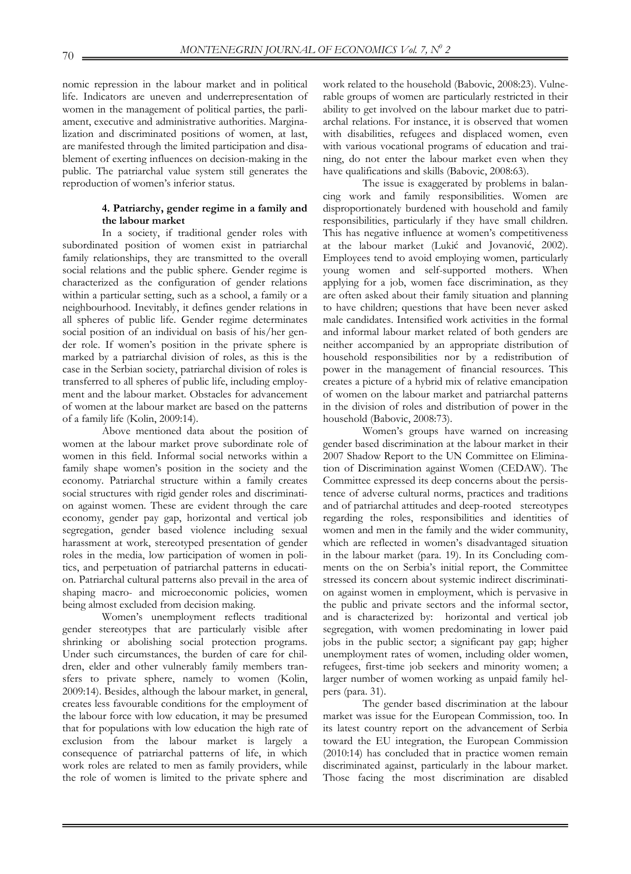nomic repression in the labour market and in political life. Indicators are uneven and underrepresentation of women in the management of political parties, the parliament, executive and administrative authorities. Marginalization and discriminated positions of women, at last, are manifested through the limited participation and disablement of exerting influences on decision-making in the public. The patriarchal value system still generates the reproduction of women's inferior status.

### **4. Patriarchy, gender regime in a family and the labour market**

In a society, if traditional gender roles with subordinated position of women exist in patriarchal family relationships, they are transmitted to the overall social relations and the public sphere. Gender regime is characterized as the configuration of gender relations within a particular setting, such as a school, a family or a neighbourhood. Inevitably, it defines gender relations in all spheres of public life. Gender regime determinates social position of an individual on basis of his/her gender role. If women's position in the private sphere is marked by a patriarchal division of roles, as this is the case in the Serbian society, patriarchal division of roles is transferred to all spheres of public life, including employment and the labour market. Obstacles for advancement of women at the labour market are based on the patterns of a family life (Kolin, 2009:14).

Above mentioned data about the position of women at the labour market prove subordinate role of women in this field. Informal social networks within a family shape women's position in the society and the economy. Patriarchal structure within a family creates social structures with rigid gender roles and discrimination against women. These are evident through the care economy, gender pay gap, horizontal and vertical job segregation, gender based violence including sexual harassment at work, stereotyped presentation of gender roles in the media, low participation of women in politics, and perpetuation of patriarchal patterns in education. Patriarchal cultural patterns also prevail in the area of shaping macro- and microeconomic policies, women being almost excluded from decision making.

Women's unemployment reflects traditional gender stereotypes that are particularly visible after shrinking or abolishing social protection programs. Under such circumstances, the burden of care for children, elder and other vulnerably family members transfers to private sphere, namely to women (Kolin, 2009:14). Besides, although the labour market, in general, creates less favourable conditions for the employment of the labour force with low education, it may be presumed that for populations with low education the high rate of exclusion from the labour market is largely a consequence of patriarchal patterns of life, in which work roles are related to men as family providers, while the role of women is limited to the private sphere and

work related to the household (Babovic, 2008:23). Vulnerable groups of women are particularly restricted in their ability to get involved on the labour market due to patriarchal relations. For instance, it is observed that women with disabilities, refugees and displaced women, even with various vocational programs of education and training, do not enter the labour market even when they have qualifications and skills (Babovic, 2008:63).

The issue is exaggerated by problems in balancing work and family responsibilities. Women are disproportionately burdened with household and family responsibilities, particularly if they have small children. This has negative influence at women's competitiveness at the labour market (Lukić and Jovanović, 2002). Employees tend to avoid employing women, particularly young women and self-supported mothers. When applying for a job, women face discrimination, as they are often asked about their family situation and planning to have children; questions that have been never asked male candidates. Intensified work activities in the formal and informal labour market related of both genders are neither accompanied by an appropriate distribution of household responsibilities nor by a redistribution of power in the management of financial resources. This creates a picture of a hybrid mix of relative emancipation of women on the labour market and patriarchal patterns in the division of roles and distribution of power in the household (Babovic, 2008:73).

Women's groups have warned on increasing gender based discrimination at the labour market in their 2007 Shadow Report to the UN Committee on Elimination of Discrimination against Women (CEDAW). The Committee expressed its deep concerns about the persistence of adverse cultural norms, practices and traditions and of patriarchal attitudes and deep-rooted stereotypes regarding the roles, responsibilities and identities of women and men in the family and the wider community, which are reflected in women's disadvantaged situation in the labour market (para. 19). In its Concluding comments on the on Serbia's initial report, the Committee stressed its concern about systemic indirect discrimination against women in employment, which is pervasive in the public and private sectors and the informal sector, and is characterized by: horizontal and vertical job segregation, with women predominating in lower paid jobs in the public sector; a significant pay gap; higher unemployment rates of women, including older women, refugees, first-time job seekers and minority women; a larger number of women working as unpaid family helpers (para. 31).

The gender based discrimination at the labour market was issue for the European Commission, too. In its latest country report on the advancement of Serbia toward the EU integration, the European Commission (2010:14) has concluded that in practice women remain discriminated against, particularly in the labour market. Those facing the most discrimination are disabled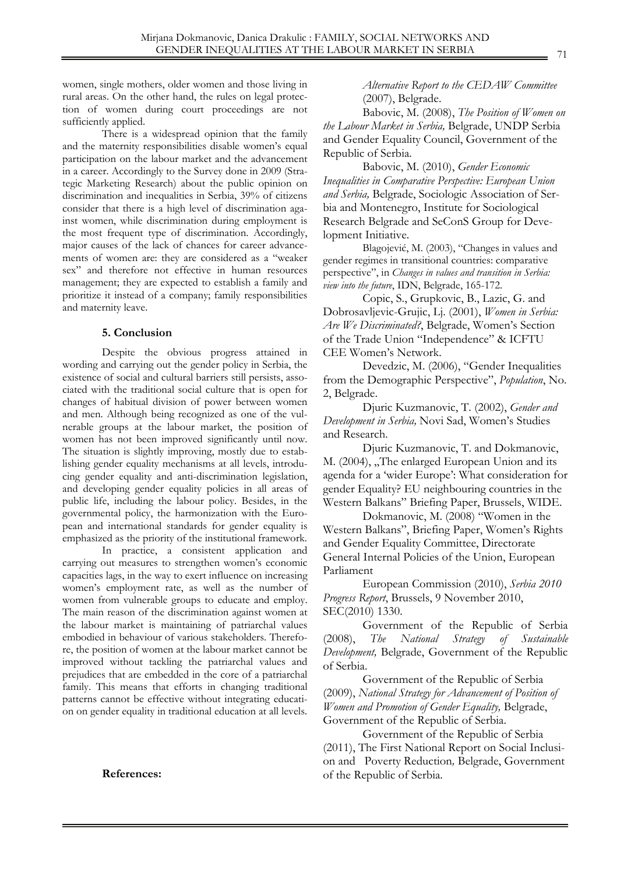women, single mothers, older women and those living in rural areas. On the other hand, the rules on legal protection of women during court proceedings are not sufficiently applied.

There is a widespread opinion that the family and the maternity responsibilities disable women's equal participation on the labour market and the advancement in a career. Accordingly to the Survey done in 2009 (Strategic Marketing Research) about the public opinion on discrimination and inequalities in Serbia, 39% of citizens consider that there is a high level of discrimination against women, while discrimination during employment is the most frequent type of discrimination. Accordingly, major causes of the lack of chances for career advancements of women are: they are considered as a "weaker sex" and therefore not effective in human resources management; they are expected to establish a family and prioritize it instead of a company; family responsibilities and maternity leave.

### **5. Conclusion**

Despite the obvious progress attained in wording and carrying out the gender policy in Serbia, the existence of social and cultural barriers still persists, associated with the traditional social culture that is open for changes of habitual division of power between women and men. Although being recognized as one of the vulnerable groups at the labour market, the position of women has not been improved significantly until now. The situation is slightly improving, mostly due to establishing gender equality mechanisms at all levels, introducing gender equality and anti-discrimination legislation, and developing gender equality policies in all areas of public life, including the labour policy. Besides, in the governmental policy, the harmonization with the European and international standards for gender equality is emphasized as the priority of the institutional framework.

In practice, a consistent application and carrying out measures to strengthen women's economic capacities lags, in the way to exert influence on increasing women's employment rate, as well as the number of women from vulnerable groups to educate and employ. The main reason of the discrimination against women at the labour market is maintaining of patriarchal values embodied in behaviour of various stakeholders. Therefore, the position of women at the labour market cannot be improved without tackling the patriarchal values and prejudices that are embedded in the core of a patriarchal family. This means that efforts in changing traditional patterns cannot be effective without integrating education on gender equality in traditional education at all levels.

 **References:** 

*Alternative Report to the CEDAW Committee*  (2007), Belgrade.

Babovic, M. (2008), *The Position of Women on the Labour Market in Serbia,* Belgrade, UNDP Serbia and Gender Equality Council, Government of the Republic of Serbia.

Babovic, M. (2010), *Gender Economic Inequalities in Comparative Perspective: European Union and Serbia,* Belgrade, Sociologic Association of Serbia and Montenegro, Institute for Sociological Research Belgrade and SeConS Group for Development Initiative.

Blagojević, M. (2003), "Changes in values and gender regimes in transitional countries: comparative perspective", in *Changes in values and transition in Serbia: view into the future*, IDN, Belgrade, 165-172.

Copic, S., Grupkovic, B., Lazic, G. and Dobrosavljevic-Grujic, Lj. (2001), *Women in Serbia: Are We Discriminated?*, Belgrade, Women's Section of the Trade Union "Independence" & ICFTU CEE Women's Network.

Devedzic, M. (2006), "Gender Inequalities from the Demographic Perspective", *Population*, No. 2, Belgrade.

Djuric Kuzmanovic, T. (2002), *Gender and Development in Serbia,* Novi Sad, Women's Studies and Research.

Djuric Kuzmanovic, T. and Dokmanovic, M. (2004), "The enlarged European Union and its agenda for a 'wider Europe': What consideration for gender Equality? EU neighbouring countries in the Western Balkans" Briefing Paper, Brussels, WIDE.

Dokmanovic, M. (2008) "Women in the Western Balkans", Briefing Paper, Women's Rights and Gender Equality Committee, Directorate General Internal Policies of the Union, European Parliament

European Commission (2010), *Serbia 2010 Progress Report*, Brussels, 9 November 2010, SEC(2010) 1330.

Government of the Republic of Serbia (2008), *The National Strategy of Sustainable Development,* Belgrade, Government of the Republic of Serbia.

Government of the Republic of Serbia (2009), *National Strategy for Advancement of Position of Women and Promotion of Gender Equality,* Belgrade, Government of the Republic of Serbia.

Government of the Republic of Serbia (2011), The First National Report on Social Inclusion and Poverty Reduction*,* Belgrade, Government of the Republic of Serbia.